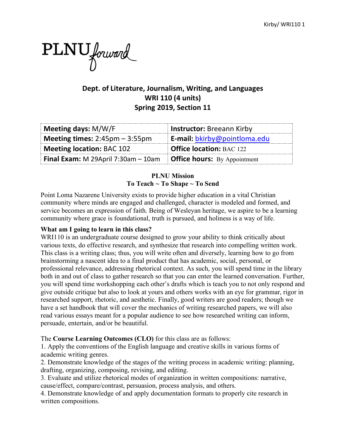

# **Dept. of Literature, Journalism, Writing, and Languages WRI 110 (4 units) Spring 2019, Section 11**

| Meeting days: M/W/F                                     | <b>Instructor: Breeann Kirby</b>    |
|---------------------------------------------------------|-------------------------------------|
| <b>Meeting times:</b> $2:45 \text{pm} - 3:55 \text{pm}$ | E-mail: bkirby@pointloma.edu        |
| <b>Meeting location: BAC 102</b>                        | <b>Office location: BAC 122</b>     |
| <b>Final Exam:</b> M 29April 7:30am $-$ 10am            | <b>Office hours:</b> By Appointment |

## **PLNU Mission To Teach ~ To Shape ~ To Send**

Point Loma Nazarene University exists to provide higher education in a vital Christian community where minds are engaged and challenged, character is modeled and formed, and service becomes an expression of faith. Being of Wesleyan heritage, we aspire to be a learning community where grace is foundational, truth is pursued, and holiness is a way of life.

## **What am I going to learn in this class?**

WRI110 is an undergraduate course designed to grow your ability to think critically about various texts, do effective research, and synthesize that research into compelling written work. This class is a writing class; thus, you will write often and diversely, learning how to go from brainstorming a nascent idea to a final product that has academic, social, personal, or professional relevance, addressing rhetorical context. As such, you will spend time in the library both in and out of class to gather research so that you can enter the learned conversation. Further, you will spend time workshopping each other's drafts which is teach you to not only respond and give outside critique but also to look at yours and others works with an eye for grammar, rigor in researched support, rhetoric, and aesthetic. Finally, good writers are good readers; though we have a set handbook that will cover the mechanics of writing researched papers, we will also read various essays meant for a popular audience to see how researched writing can inform, persuade, entertain, and/or be beautiful.

The **Course Learning Outcomes (CLO)** for this class are as follows:

1. Apply the conventions of the English language and creative skills in various forms of academic writing genres.

2. Demonstrate knowledge of the stages of the writing process in academic writing: planning, drafting, organizing, composing, revising, and editing.

3. Evaluate and utilize rhetorical modes of organization in written compositions: narrative, cause/effect, compare/contrast, persuasion, process analysis, and others.

4. Demonstrate knowledge of and apply documentation formats to properly cite research in written compositions.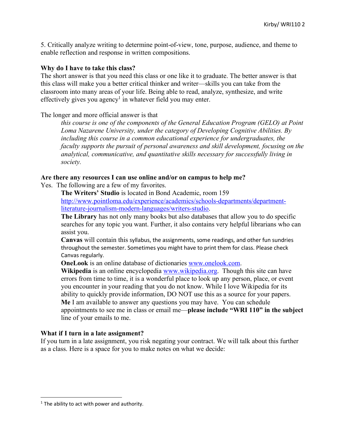5. Critically analyze writing to determine point-of-view, tone, purpose, audience, and theme to enable reflection and response in written compositions.

#### **Why do I have to take this class?**

The short answer is that you need this class or one like it to graduate. The better answer is that this class will make you a better critical thinker and writer—skills you can take from the classroom into many areas of your life. Being able to read, analyze, synthesize, and write effectively gives you agency<sup>1</sup> in whatever field you may enter.

#### The longer and more official answer is that

*this course is one of the components of the General Education Program (GELO) at Point Loma Nazarene University, under the category of Developing Cognitive Abilities. By including this course in a common educational experience for undergraduates, the faculty supports the pursuit of personal awareness and skill development, focusing on the analytical, communicative, and quantitative skills necessary for successfully living in society.*

#### **Are there any resources I can use online and/or on campus to help me?**

Yes. The following are a few of my favorites.

**The Writers' Studio** is located in Bond Academic, room 159 http://www.pointloma.edu/experience/academics/schools-departments/departmentliterature-journalism-modern-languages/writers-studio.

**The Library** has not only many books but also databases that allow you to do specific searches for any topic you want. Further, it also contains very helpful librarians who can assist you.

**Canvas** will contain this syllabus, the assignments, some readings, and other fun sundries throughout the semester. Sometimes you might have to print them for class. Please check Canvas regularly.

**OneLook** is an online database of dictionaries www.onelook.com.

**Wikipedia** is an online encyclopedia www.wikipedia.org. Though this site can have errors from time to time, it is a wonderful place to look up any person, place, or event you encounter in your reading that you do not know. While I love Wikipedia for its ability to quickly provide information, DO NOT use this as a source for your papers. **Me** I am available to answer any questions you may have. You can schedule appointments to see me in class or email me—**please include "WRI 110" in the subject** line of your emails to me.

### **What if I turn in a late assignment?**

If you turn in a late assignment, you risk negating your contract. We will talk about this further as a class. Here is a space for you to make notes on what we decide:

 $1$ <sup>1</sup> The ability to act with power and authority.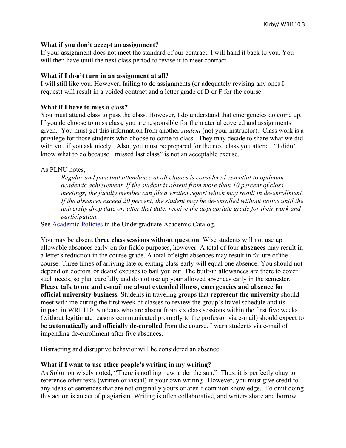### **What if you don't accept an assignment?**

If your assignment does not meet the standard of our contract, I will hand it back to you. You will then have until the next class period to revise it to meet contract.

#### **What if I don't turn in an assignment at all?**

I will still like you. However, failing to do assignments (or adequately revising any ones I request) will result in a voided contract and a letter grade of D or F for the course.

#### **What if I have to miss a class?**

You must attend class to pass the class. However, I do understand that emergencies do come up. If you do choose to miss class, you are responsible for the material covered and assignments given. You must get this information from another *student* (not your instructor). Class work is a privilege for those students who choose to come to class. They may decide to share what we did with you if you ask nicely. Also, you must be prepared for the next class you attend. "I didn't know what to do because I missed last class" is not an acceptable excuse.

### As PLNU notes,

*Regular and punctual attendance at all classes is considered essential to optimum academic achievement. If the student is absent from more than 10 percent of class meetings, the faculty member can file a written report which may result in de-enrollment. If the absences exceed 20 percent, the student may be de-enrolled without notice until the university drop date or, after that date, receive the appropriate grade for their work and participation.* 

See Academic Policies in the Undergraduate Academic Catalog.

You may be absent **three class sessions without question**. Wise students will not use up allowable absences early-on for fickle purposes, however. A total of four **absences** may result in a letter's reduction in the course grade. A total of eight absences may result in failure of the course. Three times of arriving late or exiting class early will equal one absence. You should not depend on doctors' or deans' excuses to bail you out. The built-in allowances are there to cover such needs, so plan carefully and do not use up your allowed absences early in the semester. **Please talk to me and e-mail me about extended illness, emergencies and absence for official university business.** Students in traveling groups that **represent the university** should meet with me during the first week of classes to review the group's travel schedule and its impact in WRI 110. Students who are absent from six class sessions within the first five weeks (without legitimate reasons communicated promptly to the professor via e-mail) should expect to be **automatically and officially de-enrolled** from the course. I warn students via e-mail of impending de-enrollment after five absences.

Distracting and disruptive behavior will be considered an absence.

### **What if I want to use other people's writing in my writing?**

As Solomon wisely noted, "There is nothing new under the sun." Thus, it is perfectly okay to reference other texts (written or visual) in your own writing. However, you must give credit to any ideas or sentences that are not originally yours or aren't common knowledge. To omit doing this action is an act of plagiarism. Writing is often collaborative, and writers share and borrow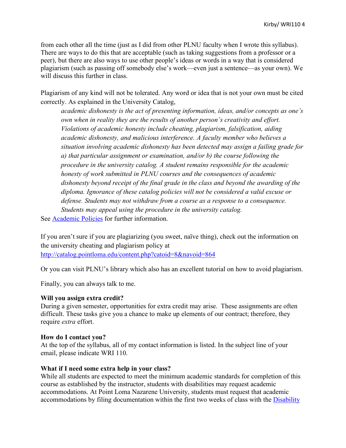from each other all the time (just as I did from other PLNU faculty when I wrote this syllabus). There are ways to do this that are acceptable (such as taking suggestions from a professor or a peer), but there are also ways to use other people's ideas or words in a way that is considered plagiarism (such as passing off somebody else's work—even just a sentence—as your own). We will discuss this further in class.

Plagiarism of any kind will not be tolerated. Any word or idea that is not your own must be cited correctly. As explained in the University Catalog,

*academic dishonesty is the act of presenting information, ideas, and/or concepts as one's own when in reality they are the results of another person's creativity and effort. Violations of academic honesty include cheating, plagiarism, falsification, aiding academic dishonesty, and malicious interference. A faculty member who believes a situation involving academic dishonesty has been detected may assign a failing grade for a) that particular assignment or examination, and/or b) the course following the procedure in the university catalog. A student remains responsible for the academic honesty of work submitted in PLNU courses and the consequences of academic dishonesty beyond receipt of the final grade in the class and beyond the awarding of the diploma. Ignorance of these catalog policies will not be considered a valid excuse or defense. Students may not withdraw from a course as a response to a consequence. Students may appeal using the procedure in the university catalog.*

See Academic Policies for further information.

If you aren't sure if you are plagiarizing (you sweet, naïve thing), check out the information on the university cheating and plagiarism policy at http://catalog.pointloma.edu/content.php?catoid=8&navoid=864

Or you can visit PLNU's library which also has an excellent tutorial on how to avoid plagiarism.

Finally, you can always talk to me.

### **Will you assign extra credit?**

During a given semester, opportunities for extra credit may arise. These assignments are often difficult. These tasks give you a chance to make up elements of our contract; therefore, they require *extra* effort.

### **How do I contact you?**

At the top of the syllabus, all of my contact information is listed. In the subject line of your email, please indicate WRI 110.

### **What if I need some extra help in your class?**

While all students are expected to meet the minimum academic standards for completion of this course as established by the instructor, students with disabilities may request academic accommodations. At Point Loma Nazarene University, students must request that academic accommodations by filing documentation within the first two weeks of class with the Disability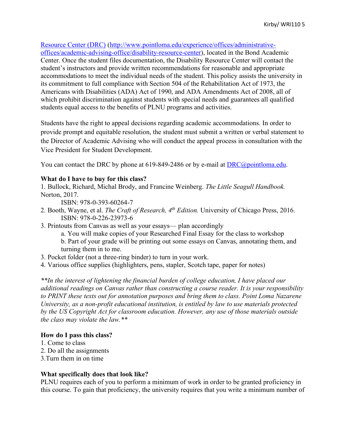## Resource Center (DRC) (http://www.pointloma.edu/experience/offices/administrative-

offices/academic-advising-office/disability-resource-center), located in the Bond Academic Center. Once the student files documentation, the Disability Resource Center will contact the student's instructors and provide written recommendations for reasonable and appropriate accommodations to meet the individual needs of the student. This policy assists the university in its commitment to full compliance with Section 504 of the Rehabilitation Act of 1973, the Americans with Disabilities (ADA) Act of 1990, and ADA Amendments Act of 2008, all of which prohibit discrimination against students with special needs and guarantees all qualified students equal access to the benefits of PLNU programs and activities.

Students have the right to appeal decisions regarding academic accommodations. In order to provide prompt and equitable resolution, the student must submit a written or verbal statement to the Director of Academic Advising who will conduct the appeal process in consultation with the Vice President for Student Development.

You can contact the DRC by phone at 619-849-2486 or by e-mail at <u>DRC@pointloma.edu</u>.

#### **What do I have to buy for this class?**

1. Bullock, Richard, Michal Brody, and Francine Weinberg. *The Little Seagull Handbook.*  Norton, 2017.

ISBN: 978-0-393-60264-7

- 2. Booth, Wayne, et al. *The Craft of Research, 4th Edition.* University of Chicago Press, 2016. ISBN: 978-0-226-23973-6
- 3. Printouts from Canvas as well as your essays— plan accordingly
	- a. You will make copies of your Researched Final Essay for the class to workshop
	- b. Part of your grade will be printing out some essays on Canvas, annotating them, and turning them in to me.
- 3. Pocket folder (not a three-ring binder) to turn in your work.
- 4. Various office supplies (highlighters, pens, stapler, Scotch tape, paper for notes)

*\*\*In the interest of lightening the financial burden of college education, I have placed our additional readings on Canvas rather than constructing a course reader. It is your responsibility to PRINT these texts out for annotation purposes and bring them to class. Point Loma Nazarene University, as a non-profit educational institution, is entitled by law to use materials protected by the US Copyright Act for classroom education. However, any use of those materials outside the class may violate the law.\*\**

#### **How do I pass this class?**

- 1. Come to class
- 2. Do all the assignments
- 3.Turn them in on time

#### **What specifically does that look like?**

PLNU requires each of you to perform a minimum of work in order to be granted proficiency in this course. To gain that proficiency, the university requires that you write a minimum number of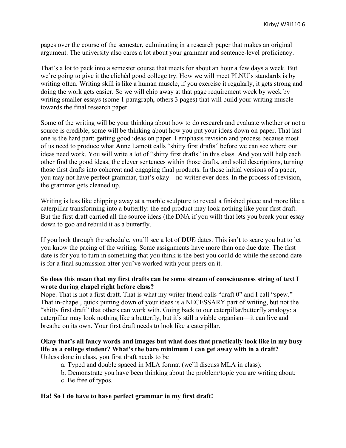pages over the course of the semester, culminating in a research paper that makes an original argument. The university also cares a lot about your grammar and sentence-level proficiency.

That's a lot to pack into a semester course that meets for about an hour a few days a week. But we're going to give it the clichéd good college try. How we will meet PLNU's standards is by writing often. Writing skill is like a human muscle, if you exercise it regularly, it gets strong and doing the work gets easier. So we will chip away at that page requirement week by week by writing smaller essays (some 1 paragraph, others 3 pages) that will build your writing muscle towards the final research paper.

Some of the writing will be your thinking about how to do research and evaluate whether or not a source is credible, some will be thinking about how you put your ideas down on paper. That last one is the hard part: getting good ideas on paper. I emphasis revision and process because most of us need to produce what Anne Lamott calls "shitty first drafts" before we can see where our ideas need work. You will write a lot of "shitty first drafts" in this class. And you will help each other find the good ideas, the clever sentences within those drafts, and solid descriptions, turning those first drafts into coherent and engaging final products. In those initial versions of a paper, you may not have perfect grammar, that's okay—no writer ever does. In the process of revision, the grammar gets cleaned up.

Writing is less like chipping away at a marble sculpture to reveal a finished piece and more like a caterpillar transforming into a butterfly: the end product may look nothing like your first draft. But the first draft carried all the source ideas (the DNA if you will) that lets you break your essay down to goo and rebuild it as a butterfly.

If you look through the schedule, you'll see a lot of **DUE** dates. This isn't to scare you but to let you know the pacing of the writing. Some assignments have more than one due date. The first date is for you to turn in something that you think is the best you could do while the second date is for a final submission after you've worked with your peers on it.

### **So does this mean that my first drafts can be some stream of consciousness string of text I wrote during chapel right before class?**

Nope. That is not a first draft. That is what my writer friend calls "draft 0" and I call "spew." That in-chapel, quick putting down of your ideas is a NECESSARY part of writing, but not the "shitty first draft" that others can work with. Going back to our caterpillar/butterfly analogy: a caterpillar may look nothing like a butterfly, but it's still a viable organism—it can live and breathe on its own. Your first draft needs to look like a caterpillar.

# **Okay that's all fancy words and images but what does that practically look like in my busy life as a college student? What's the bare minimum I can get away with in a draft?**

Unless done in class, you first draft needs to be

- a. Typed and double spaced in MLA format (we'll discuss MLA in class);
- b. Demonstrate you have been thinking about the problem/topic you are writing about;
- c. Be free of typos.

### **Ha! So I do have to have perfect grammar in my first draft!**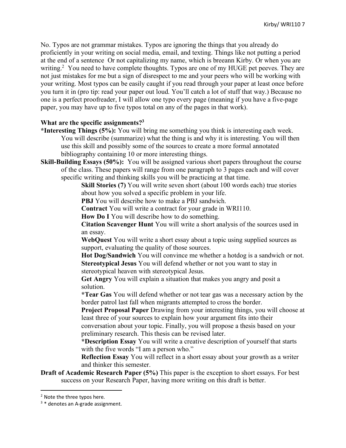No. Typos are not grammar mistakes. Typos are ignoring the things that you already do proficiently in your writing on social media, email, and texting. Things like not putting a period at the end of a sentence Or not capitalizing my name, which is breeann Kirby. Or when you are writing.<sup>2</sup> You need to have complete thoughts. Typos are one of my HUGE pet peeves. They are not just mistakes for me but a sign of disrespect to me and your peers who will be working with your writing. Most typos can be easily caught if you read through your paper at least once before you turn it in (pro tip: read your paper out loud. You'll catch a lot of stuff that way.) Because no one is a perfect proofreader, I will allow one typo every page (meaning if you have a five-page paper, you may have up to five typos total on any of the pages in that work).

### **What are the specific assignments?3**

- **\*Interesting Things (5%):** You will bring me something you think is interesting each week. You will describe (summarize) what the thing is and why it is interesting. You will then use this skill and possibly some of the sources to create a more formal annotated bibliography containing 10 or more interesting things.
- **Skill-Building Essays (50%):** You will be assigned various short papers throughout the course of the class. These papers will range from one paragraph to 3 pages each and will cover specific writing and thinking skills you will be practicing at that time.

**Skill Stories (7)** You will write seven short (about 100 words each) true stories about how you solved a specific problem in your life.

**PBJ** You will describe how to make a PBJ sandwich.

**Contract** You will write a contract for your grade in WRI110.

**How Do I** You will describe how to do something.

**Citation Scavenger Hunt** You will write a short analysis of the sources used in an essay.

**WebQuest** You will write a short essay about a topic using supplied sources as support, evaluating the quality of those sources.

**Hot Dog/Sandwich** You will convince me whether a hotdog is a sandwich or not. **Stereotypical Jesus** You will defend whether or not you want to stay in stereotypical heaven with stereotypical Jesus.

**Get Angry** You will explain a situation that makes you angry and posit a solution.

**\*Tear Gas** You will defend whether or not tear gas was a necessary action by the border patrol last fall when migrants attempted to cross the border.

**Project Proposal Paper** Drawing from your interesting things, you will choose at least three of your sources to explain how your argument fits into their

conversation about your topic. Finally, you will propose a thesis based on your preliminary research. This thesis can be revised later.

**\*Description Essay** You will write a creative description of yourself that starts with the five words "I am a person who."

**Reflection Essay** You will reflect in a short essay about your growth as a writer and thinker this semester.

**Draft of Academic Research Paper (5%)** This paper is the exception to short essays. For best success on your Research Paper, having more writing on this draft is better.

 <sup>2</sup> Note the three typos here.

 $3 *$  denotes an A-grade assignment.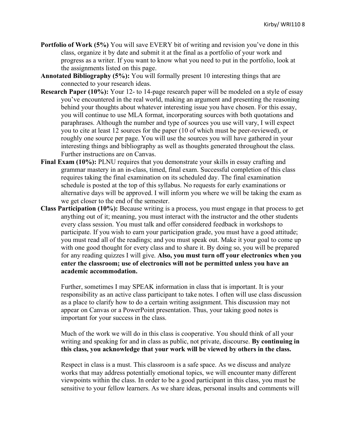- **Portfolio of Work (5%)** You will save EVERY bit of writing and revision you've done in this class, organize it by date and submit it at the final as a portfolio of your work and progress as a writer. If you want to know what you need to put in the portfolio, look at the assignments listed on this page.
- **Annotated Bibliography (5%):** You will formally present 10 interesting things that are connected to your research ideas.
- **Research Paper (10%):** Your 12- to 14-page research paper will be modeled on a style of essay you've encountered in the real world, making an argument and presenting the reasoning behind your thoughts about whatever interesting issue you have chosen. For this essay, you will continue to use MLA format, incorporating sources with both quotations and paraphrases. Although the number and type of sources you use will vary, I will expect you to cite at least 12 sources for the paper (10 of which must be peer-reviewed), or roughly one source per page. You will use the sources you will have gathered in your interesting things and bibliography as well as thoughts generated throughout the class. Further instructions are on Canvas.
- **Final Exam (10%):** PLNU requires that you demonstrate your skills in essay crafting and grammar mastery in an in-class, timed, final exam. Successful completion of this class requires taking the final examination on its scheduled day. The final examination schedule is posted at the top of this syllabus. No requests for early examinations or alternative days will be approved. I will inform you where we will be taking the exam as we get closer to the end of the semester.
- **Class Participation (10%):** Because writing is a process, you must engage in that process to get anything out of it; meaning, you must interact with the instructor and the other students every class session. You must talk and offer considered feedback in workshops to participate. If you wish to earn your participation grade, you must have a good attitude; you must read all of the readings; and you must speak out. Make it your goal to come up with one good thought for every class and to share it. By doing so, you will be prepared for any reading quizzes I will give. **Also, you must turn off your electronics when you enter the classroom; use of electronics will not be permitted unless you have an academic accommodation.**

Further, sometimes I may SPEAK information in class that is important. It is your responsibility as an active class participant to take notes. I often will use class discussion as a place to clarify how to do a certain writing assignment. This discussion may not appear on Canvas or a PowerPoint presentation. Thus, your taking good notes is important for your success in the class.

Much of the work we will do in this class is cooperative. You should think of all your writing and speaking for and in class as public, not private, discourse. **By continuing in this class, you acknowledge that your work will be viewed by others in the class.**

Respect in class is a must. This classroom is a safe space. As we discuss and analyze works that may address potentially emotional topics, we will encounter many different viewpoints within the class. In order to be a good participant in this class, you must be sensitive to your fellow learners. As we share ideas, personal insults and comments will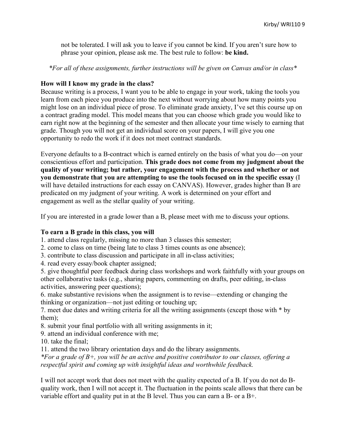not be tolerated. I will ask you to leave if you cannot be kind. If you aren't sure how to phrase your opinion, please ask me. The best rule to follow: **be kind.**

*\*For all of these assignments, further instructions will be given on Canvas and/or in class\**

### **How will I know my grade in the class?**

Because writing is a process, I want you to be able to engage in your work, taking the tools you learn from each piece you produce into the next without worrying about how many points you might lose on an individual piece of prose. To eliminate grade anxiety, I've set this course up on a contract grading model. This model means that you can choose which grade you would like to earn right now at the beginning of the semester and then allocate your time wisely to earning that grade. Though you will not get an individual score on your papers, I will give you one opportunity to redo the work if it does not meet contract standards.

Everyone defaults to a B-contract which is earned entirely on the basis of what you do—on your conscientious effort and participation. **This grade does not come from my judgment about the quality of your writing; but rather, your engagement with the process and whether or not you demonstrate that you are attempting to use the tools focused on in the specific essay** (I will have detailed instructions for each essay on CANVAS). However, grades higher than B are predicated on my judgment of your writing. A work is determined on your effort and engagement as well as the stellar quality of your writing.

If you are interested in a grade lower than a B, please meet with me to discuss your options.

## **To earn a B grade in this class, you will**

1. attend class regularly, missing no more than 3 classes this semester;

2. come to class on time (being late to class 3 times counts as one absence);

3. contribute to class discussion and participate in all in-class activities;

4. read every essay/book chapter assigned;

5. give thoughtful peer feedback during class workshops and work faithfully with your groups on other collaborative tasks (e.g., sharing papers, commenting on drafts, peer editing, in-class activities, answering peer questions);

6. make substantive revisions when the assignment is to revise—extending or changing the thinking or organization—not just editing or touching up;

7. meet due dates and writing criteria for all the writing assignments (except those with \* by them);

8. submit your final portfolio with all writing assignments in it;

9. attend an individual conference with me;

10. take the final;

11. attend the two library orientation days and do the library assignments.

*\*For a grade of B+, you will be an active and positive contributor to our classes, offering a respectful spirit and coming up with insightful ideas and worthwhile feedback.*

I will not accept work that does not meet with the quality expected of a B. If you do not do Bquality work, then I will not accept it. The fluctuation in the points scale allows that there can be variable effort and quality put in at the B level. Thus you can earn a B- or a B+.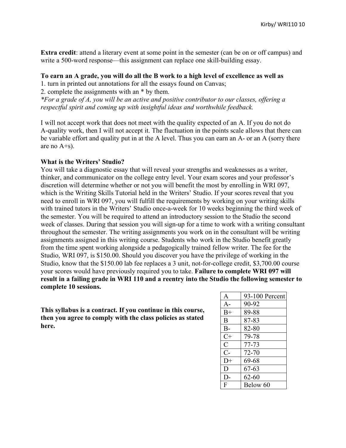**Extra credit**: attend a literary event at some point in the semester (can be on or off campus) and write a 500-word response—this assignment can replace one skill-building essay.

#### **To earn an A grade, you will do all the B work to a high level of excellence as well as**

1. turn in printed out annotations for all the essays found on Canvas;

2. complete the assignments with an \* by them.

*\*For a grade of A, you will be an active and positive contributor to our classes, offering a respectful spirit and coming up with insightful ideas and worthwhile feedback.*

I will not accept work that does not meet with the quality expected of an A. If you do not do A-quality work, then I will not accept it. The fluctuation in the points scale allows that there can be variable effort and quality put in at the A level. Thus you can earn an A- or an A (sorry there are no A+s).

#### **What is the Writers' Studio?**

You will take a diagnostic essay that will reveal your strengths and weaknesses as a writer, thinker, and communicator on the college entry level. Your exam scores and your professor's discretion will determine whether or not you will benefit the most by enrolling in WRI 097, which is the Writing Skills Tutorial held in the Writers' Studio. If your scores reveal that you need to enroll in WRI 097, you will fulfill the requirements by working on your writing skills with trained tutors in the Writers' Studio once-a-week for 10 weeks beginning the third week of the semester. You will be required to attend an introductory session to the Studio the second week of classes. During that session you will sign-up for a time to work with a writing consultant throughout the semester. The writing assignments you work on in the consultant will be writing assignments assigned in this writing course. Students who work in the Studio benefit greatly from the time spent working alongside a pedagogically trained fellow writer. The fee for the Studio, WRI 097, is \$150.00. Should you discover you have the privilege of working in the Studio, know that the \$150.00 lab fee replaces a 3 unit, not-for-college credit, \$3,700.00 course your scores would have previously required you to take. **Failure to complete WRI 097 will result in a failing grade in WRI 110 and a reentry into the Studio the following semester to complete 10 sessions.**

**This syllabus is a contract. If you continue in this course, then you agree to comply with the class policies as stated here.**

| A             | 93-100 Percent |
|---------------|----------------|
| $A-$          | 90-92          |
| $B+$          | 89-88          |
| B             | 87-83          |
| $B-$          | 82-80          |
| $C+$          | 79-78          |
| $\mathcal{C}$ | 77-73          |
| $C-$          | 72-70          |
| $D+$          | 69-68          |
| D             | 67-63          |
| D-            | $62 - 60$      |
| F             | Below 60       |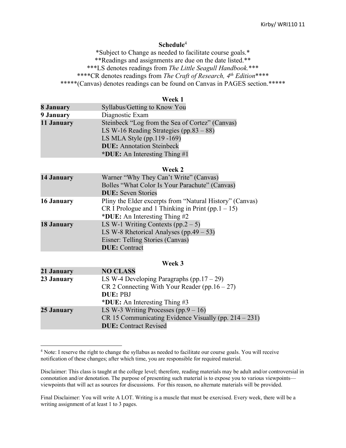#### Kirby/ WRI110 11

#### **Schedule**<sup>4</sup>

\*Subject to Change as needed to facilitate course goals.\* \*\*Readings and assignments are due on the date listed.\*\* \*\*\*LS denotes readings from *The Little Seagull Handbook.*\*\*\* \*\*\*\*CR denotes readings from *The Craft of Research, 4th Edition*\*\*\*\* \*\*\*\*\*(Canvas) denotes readings can be found on Canvas in PAGES section.\*\*\*\*\*

#### **Week 1**

| 8 January  | Syllabus/Getting to Know You                    |
|------------|-------------------------------------------------|
| 9 January  | Diagnostic Exam                                 |
| 11 January | Steinbeck "Log from the Sea of Cortez" (Canvas) |
|            | LS W-16 Reading Strategies (pp.83 $-88$ )       |
|            | LS MLA Style (pp.119 -169)                      |
|            | <b>DUE:</b> Annotation Steinbeck                |
|            | *DUE: An Interesting Thing $#1$                 |

#### **Week 2**

| 14 January        | Warner "Why They Can't Write" (Canvas)<br>Bolles "What Color Is Your Parachute" (Canvas)<br><b>DUE:</b> Seven Stories                              |
|-------------------|----------------------------------------------------------------------------------------------------------------------------------------------------|
| 16 January        | Pliny the Elder excerpts from "Natural History" (Canvas)<br>CR I Prologue and 1 Thinking in Print (pp. $1 - 15$ )<br>*DUE: An Interesting Thing #2 |
| <b>18 January</b> | LS W-1 Writing Contexts $(pp.2 - 5)$<br>LS W-8 Rhetorical Analyses (pp.49 $-$ 53)<br>Eisner: Telling Stories (Canvas)<br><b>DUE</b> : Contract     |

#### **Week 3**

| 21 January | <b>NO CLASS</b>                                          |
|------------|----------------------------------------------------------|
| 23 January | LS W-4 Developing Paragraphs (pp. $17 - 29$ )            |
|            | $CR$ 2 Connecting With Your Reader (pp. 16 – 27)         |
|            | <b>DUE</b> : PBJ                                         |
|            | *DUE: An Interesting Thing $#3$                          |
| 25 January | LS W-3 Writing Processes $(pp.9 - 16)$                   |
|            | CR 15 Communicating Evidence Visually (pp. $214 - 231$ ) |
|            | <b>DUE:</b> Contract Revised                             |

 $\overline{a}$ 

<sup>4</sup> Note: I reserve the right to change the syllabus as needed to facilitate our course goals. You will receive notification of these changes; after which time, you are responsible for required material.

Disclaimer: This class is taught at the college level; therefore, reading materials may be adult and/or controversial in connotation and/or denotation. The purpose of presenting such material is to expose you to various viewpoints viewpoints that will act as sources for discussions. For this reason, no alternate materials will be provided.

Final Disclaimer: You will write A LOT. Writing is a muscle that must be exercised. Every week, there will be a writing assignment of at least 1 to 3 pages.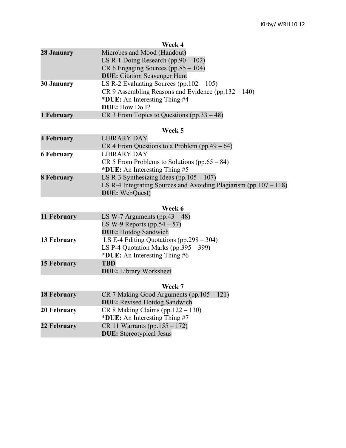| Week 4                                                |
|-------------------------------------------------------|
| Microbes and Mood (Handout)                           |
| LS R-1 Doing Research (pp. $90 - 102$ )               |
| $CR 6$ Engaging Sources (pp.85 – 104)                 |
| <b>DUE:</b> Citation Scavenger Hunt                   |
| LS R-2 Evaluating Sources (pp. $102 - 105$ )          |
| $CR$ 9 Assembling Reasons and Evidence (pp.132 – 140) |
| *DUE: An Interesting Thing #4                         |
| <b>DUE:</b> How Do I?                                 |
| CR 3 From Topics to Questions $(pp.33 - 48)$          |
|                                                       |

### **Week 5**

| <b>4 February</b> | <b>LIBRARY DAY</b>                                                    |
|-------------------|-----------------------------------------------------------------------|
|                   | CR 4 From Questions to a Problem $(pp.49 - 64)$                       |
| <b>6 February</b> | LIBRARY DAY                                                           |
|                   | CR 5 From Problems to Solutions (pp.65 – 84)                          |
|                   | *DUE: An Interesting Thing #5                                         |
| 8 February        | LS R-3 Synthesizing Ideas (pp.105 $-107$ )                            |
|                   | LS R-4 Integrating Sources and Avoiding Plagiarism (pp. $107 - 118$ ) |
|                   | <b>DUE:</b> WebQuest)                                                 |

# **Week 6**

| 11 February        | LS W-7 Arguments (pp.43 $-48$ )              |
|--------------------|----------------------------------------------|
|                    | LS W-9 Reports $(pp.54-57)$                  |
|                    | <b>DUE:</b> Hotdog Sandwich                  |
| 13 February        | LS E-4 Editing Quotations (pp. $298 - 304$ ) |
|                    | LS P-4 Quotation Marks (pp. $395 - 399$ )    |
|                    | *DUE: An Interesting Thing #6                |
| <b>15 February</b> | <b>TBD</b>                                   |
|                    | <b>DUE:</b> Library Worksheet                |

# **Week 7**

| <b>18 February</b> | $CR$ 7 Making Good Arguments (pp. 105 – 121) |
|--------------------|----------------------------------------------|
|                    | <b>DUE:</b> Revised Hotdog Sandwich          |
| 20 February        | $CR 8$ Making Claims (pp. 122 – 130)         |
|                    | *DUE: An Interesting Thing #7                |
| 22 February        | CR 11 Warrants (pp. $155 - 172$ )            |
|                    | <b>DUE:</b> Stereotypical Jesus              |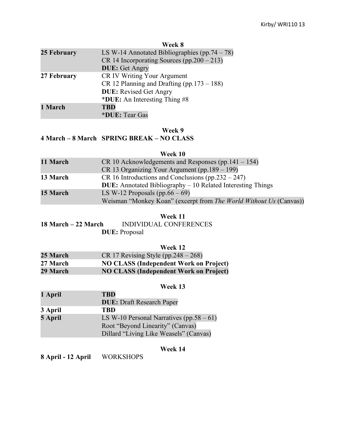#### **Week 8**

| LS W-14 Annotated Bibliographies $(pp.74-78)$  |
|------------------------------------------------|
| CR 14 Incorporating Sources $(pp.200 - 213)$   |
| <b>DUE:</b> Get Angry                          |
| <b>CR IV Writing Your Argument</b>             |
| CR 12 Planning and Drafting (pp. $173 - 188$ ) |
| <b>DUE:</b> Revised Get Angry                  |
| *DUE: An Interesting Thing #8                  |
| <b>TBD</b>                                     |
| *DUE: Tear Gas                                 |
|                                                |

#### **Week 9**

# **4 March – 8 March SPRING BREAK – NO CLASS**

### **Week 10**

| 11 March | CR 10 Acknowledgements and Responses (pp. $141 - 154$ )             |
|----------|---------------------------------------------------------------------|
|          | $CR$ 13 Organizing Your Argument (pp. 189 – 199)                    |
| 13 March | CR 16 Introductions and Conclusions $(pp.232 - 247)$                |
|          | <b>DUE:</b> Annotated Bibliography $-10$ Related Interesting Things |
| 15 March | LS W-12 Proposals (pp.66 $-69$ )                                    |
|          | Weisman "Monkey Koan" (excerpt from The World Without Us (Canvas))  |

### **Week 11**

**18 March – 22 March** INDIVIDUAL CONFERENCES **DUE:** Proposal

|          | Week 12                                       |
|----------|-----------------------------------------------|
| 25 March | CR 17 Revising Style (pp. $248 - 268$ )       |
| 27 March | <b>NO CLASS (Independent Work on Project)</b> |
| 29 March | <b>NO CLASS (Independent Work on Project)</b> |

### **Week 13**

| 1 April | <b>TBD</b>                                   |
|---------|----------------------------------------------|
|         | <b>DUE:</b> Draft Research Paper             |
| 3 April | <b>TBD</b>                                   |
| 5 April | LS W-10 Personal Narratives (pp. $58 - 61$ ) |
|         | Root "Beyond Linearity" (Canvas)             |
|         | Dillard "Living Like Weasels" (Canvas)       |

## **Week 14**

**8 April - 12 April** WORKSHOPS